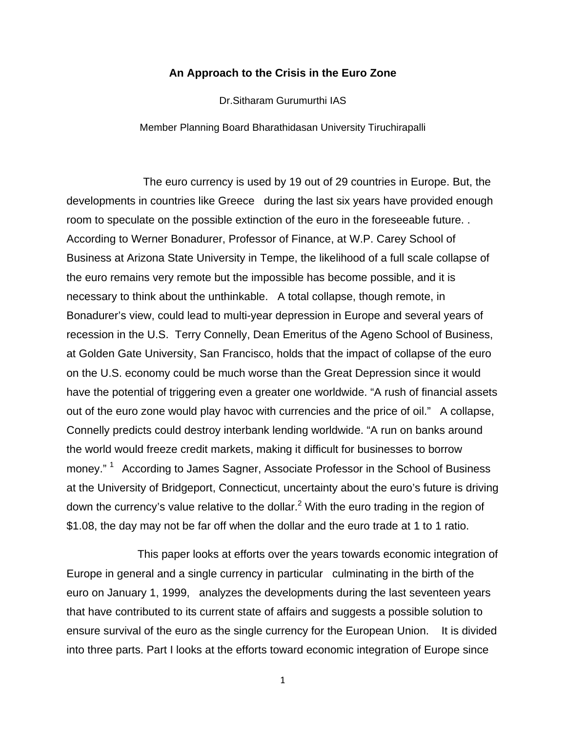## **An Approach to the Crisis in the Euro Zone**

Dr.Sitharam Gurumurthi IAS

Member Planning Board Bharathidasan University Tiruchirapalli

The euro currency is used by 19 out of 29 countries in Europe. But, the developments in countries like Greece during the last six years have provided enough room to speculate on the possible extinction of the euro in the foreseeable future. . According to Werner Bonadurer, Professor of Finance, at W.P. Carey School of Business at Arizona State University in Tempe, the likelihood of a full scale collapse of the euro remains very remote but the impossible has become possible, and it is necessary to think about the unthinkable. A total collapse, though remote, in Bonadurer's view, could lead to multi-year depression in Europe and several years of recession in the U.S. Terry Connelly, Dean Emeritus of the Ageno School of Business, at Golden Gate University, San Francisco, holds that the impact of collapse of the euro on the U.S. economy could be much worse than the Great Depression since it would have the potential of triggering even a greater one worldwide. "A rush of financial assets out of the euro zone would play havoc with currencies and the price of oil." A collapse, Connelly predicts could destroy interbank lending worldwide. "A run on banks around the world would freeze credit markets, making it difficult for businesses to borrow money."<sup>1</sup> According to James Sagner, Associate Professor in the School of Business at the University of Bridgeport, Connecticut, uncertainty about the euro's future is driving down the currency's value relative to the dollar.<sup>2</sup> With the euro trading in the region of \$1.08, the day may not be far off when the dollar and the euro trade at 1 to 1 ratio.

 This paper looks at efforts over the years towards economic integration of Europe in general and a single currency in particular culminating in the birth of the euro on January 1, 1999, analyzes the developments during the last seventeen years that have contributed to its current state of affairs and suggests a possible solution to ensure survival of the euro as the single currency for the European Union. It is divided into three parts. Part I looks at the efforts toward economic integration of Europe since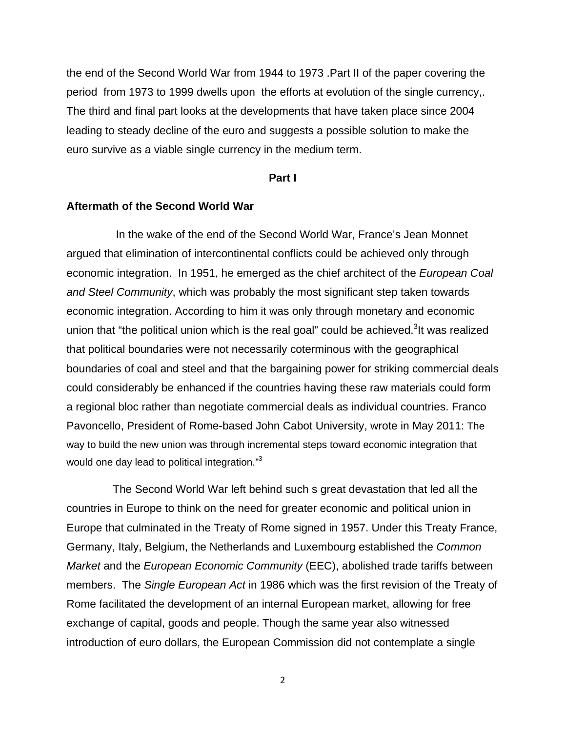the end of the Second World War from 1944 to 1973 .Part II of the paper covering the period from 1973 to 1999 dwells upon the efforts at evolution of the single currency,. The third and final part looks at the developments that have taken place since 2004 leading to steady decline of the euro and suggests a possible solution to make the euro survive as a viable single currency in the medium term.

## **Part I**

#### **Aftermath of the Second World War**

In the wake of the end of the Second World War, France's Jean Monnet argued that elimination of intercontinental conflicts could be achieved only through economic integration. In 1951, he emerged as the chief architect of the *European Coal and Steel Community*, which was probably the most significant step taken towards economic integration. According to him it was only through monetary and economic union that "the political union which is the real goal" could be achieved. $3$ It was realized that political boundaries were not necessarily coterminous with the geographical boundaries of coal and steel and that the bargaining power for striking commercial deals could considerably be enhanced if the countries having these raw materials could form a regional bloc rather than negotiate commercial deals as individual countries. Franco Pavoncello, President of Rome-based John Cabot University, wrote in May 2011: The way to build the new union was through incremental steps toward economic integration that would one day lead to political integration."<sup>3</sup>

 The Second World War left behind such s great devastation that led all the countries in Europe to think on the need for greater economic and political union in Europe that culminated in the Treaty of Rome signed in 1957. Under this Treaty France, Germany, Italy, Belgium, the Netherlands and Luxembourg established the *Common Market* and the *European Economic Community* (EEC), abolished trade tariffs between members. The *Single European Act* in 1986 which was the first revision of the Treaty of Rome facilitated the development of an internal European market, allowing for free exchange of capital, goods and people. Though the same year also witnessed introduction of euro dollars, the European Commission did not contemplate a single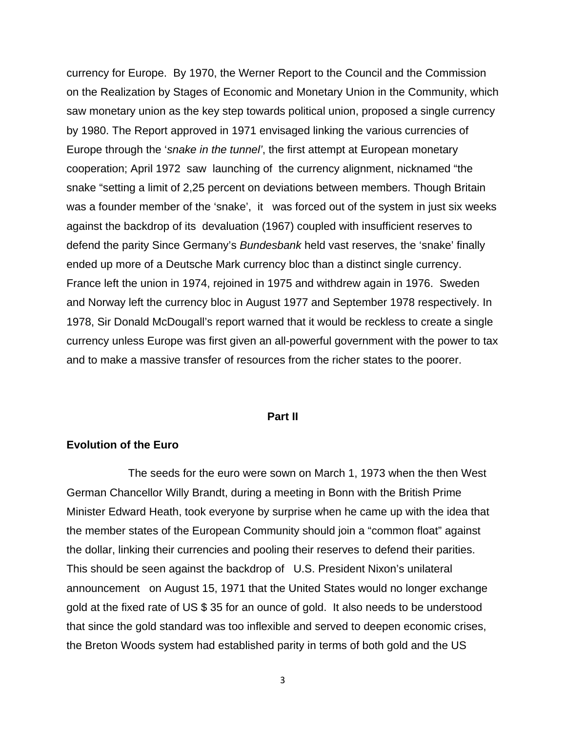currency for Europe. By 1970, the Werner Report to the Council and the Commission on the Realization by Stages of Economic and Monetary Union in the Community, which saw monetary union as the key step towards political union, proposed a single currency by 1980. The Report approved in 1971 envisaged linking the various currencies of Europe through the '*snake in the tunnel'*, the first attempt at European monetary cooperation; April 1972 saw launching of the currency alignment, nicknamed "the snake "setting a limit of 2,25 percent on deviations between members. Though Britain was a founder member of the 'snake', it was forced out of the system in just six weeks against the backdrop of its devaluation (1967) coupled with insufficient reserves to defend the parity Since Germany's *Bundesbank* held vast reserves, the 'snake' finally ended up more of a Deutsche Mark currency bloc than a distinct single currency. France left the union in 1974, rejoined in 1975 and withdrew again in 1976. Sweden and Norway left the currency bloc in August 1977 and September 1978 respectively. In 1978, Sir Donald McDougall's report warned that it would be reckless to create a single currency unless Europe was first given an all-powerful government with the power to tax and to make a massive transfer of resources from the richer states to the poorer.

#### **Part II**

## **Evolution of the Euro**

The seeds for the euro were sown on March 1, 1973 when the then West German Chancellor Willy Brandt, during a meeting in Bonn with the British Prime Minister Edward Heath, took everyone by surprise when he came up with the idea that the member states of the European Community should join a "common float" against the dollar, linking their currencies and pooling their reserves to defend their parities. This should be seen against the backdrop of U.S. President Nixon's unilateral announcement on August 15, 1971 that the United States would no longer exchange gold at the fixed rate of US \$ 35 for an ounce of gold. It also needs to be understood that since the gold standard was too inflexible and served to deepen economic crises, the Breton Woods system had established parity in terms of both gold and the US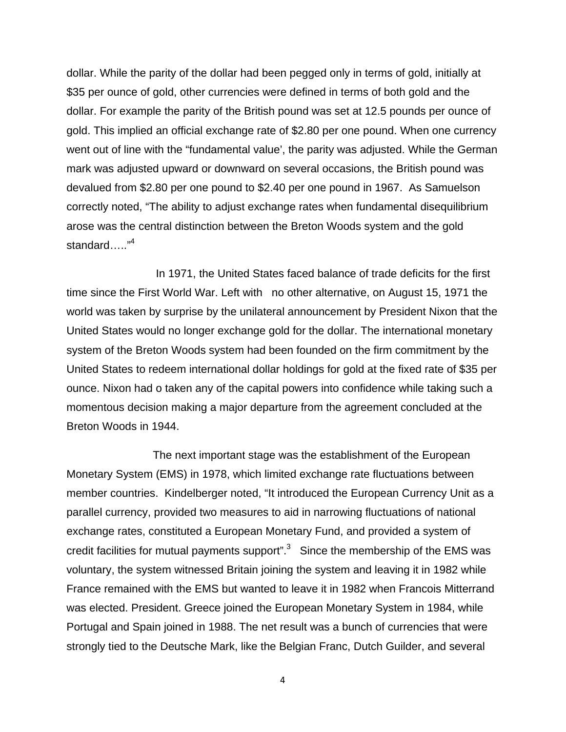dollar. While the parity of the dollar had been pegged only in terms of gold, initially at \$35 per ounce of gold, other currencies were defined in terms of both gold and the dollar. For example the parity of the British pound was set at 12.5 pounds per ounce of gold. This implied an official exchange rate of \$2.80 per one pound. When one currency went out of line with the "fundamental value', the parity was adjusted. While the German mark was adjusted upward or downward on several occasions, the British pound was devalued from \$2.80 per one pound to \$2.40 per one pound in 1967. As Samuelson correctly noted, "The ability to adjust exchange rates when fundamental disequilibrium arose was the central distinction between the Breton Woods system and the gold standard….."4

 In 1971, the United States faced balance of trade deficits for the first time since the First World War. Left with no other alternative, on August 15, 1971 the world was taken by surprise by the unilateral announcement by President Nixon that the United States would no longer exchange gold for the dollar. The international monetary system of the Breton Woods system had been founded on the firm commitment by the United States to redeem international dollar holdings for gold at the fixed rate of \$35 per ounce. Nixon had o taken any of the capital powers into confidence while taking such a momentous decision making a major departure from the agreement concluded at the Breton Woods in 1944.

 The next important stage was the establishment of the European Monetary System (EMS) in 1978, which limited exchange rate fluctuations between member countries. Kindelberger noted, "It introduced the European Currency Unit as a parallel currency, provided two measures to aid in narrowing fluctuations of national exchange rates, constituted a European Monetary Fund, and provided a system of credit facilities for mutual payments support". $3$  Since the membership of the EMS was voluntary, the system witnessed Britain joining the system and leaving it in 1982 while France remained with the EMS but wanted to leave it in 1982 when Francois Mitterrand was elected. President. Greece joined the European Monetary System in 1984, while Portugal and Spain joined in 1988. The net result was a bunch of currencies that were strongly tied to the Deutsche Mark, like the Belgian Franc, Dutch Guilder, and several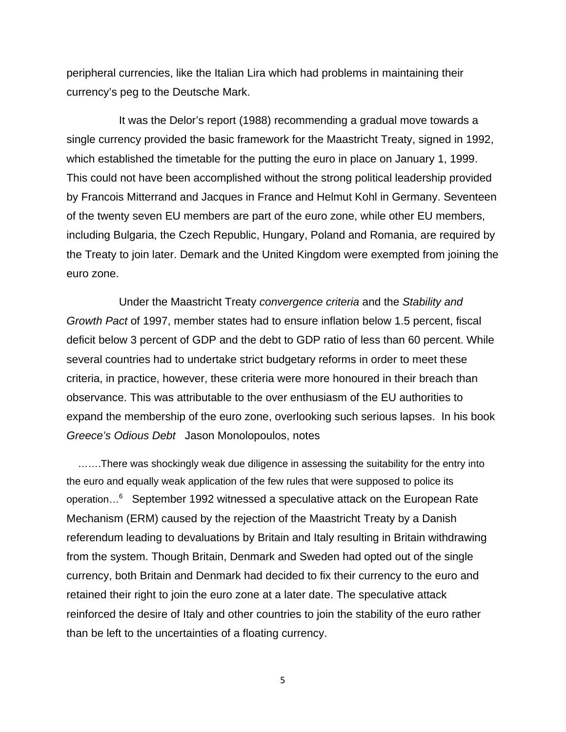peripheral currencies, like the Italian Lira which had problems in maintaining their currency's peg to the Deutsche Mark.

 It was the Delor's report (1988) recommending a gradual move towards a single currency provided the basic framework for the Maastricht Treaty, signed in 1992, which established the timetable for the putting the euro in place on January 1, 1999. This could not have been accomplished without the strong political leadership provided by Francois Mitterrand and Jacques in France and Helmut Kohl in Germany. Seventeen of the twenty seven EU members are part of the euro zone, while other EU members, including Bulgaria, the Czech Republic, Hungary, Poland and Romania, are required by the Treaty to join later. Demark and the United Kingdom were exempted from joining the euro zone.

 Under the Maastricht Treaty *convergence criteria* and the *Stability and Growth Pact* of 1997, member states had to ensure inflation below 1.5 percent, fiscal deficit below 3 percent of GDP and the debt to GDP ratio of less than 60 percent. While several countries had to undertake strict budgetary reforms in order to meet these criteria, in practice, however, these criteria were more honoured in their breach than observance. This was attributable to the over enthusiasm of the EU authorities to expand the membership of the euro zone, overlooking such serious lapses. In his book *Greece's Odious Debt* Jason Monolopoulos, notes

 …….There was shockingly weak due diligence in assessing the suitability for the entry into the euro and equally weak application of the few rules that were supposed to police its operation…6 September 1992 witnessed a speculative attack on the European Rate Mechanism (ERM) caused by the rejection of the Maastricht Treaty by a Danish referendum leading to devaluations by Britain and Italy resulting in Britain withdrawing from the system. Though Britain, Denmark and Sweden had opted out of the single currency, both Britain and Denmark had decided to fix their currency to the euro and retained their right to join the euro zone at a later date. The speculative attack reinforced the desire of Italy and other countries to join the stability of the euro rather than be left to the uncertainties of a floating currency.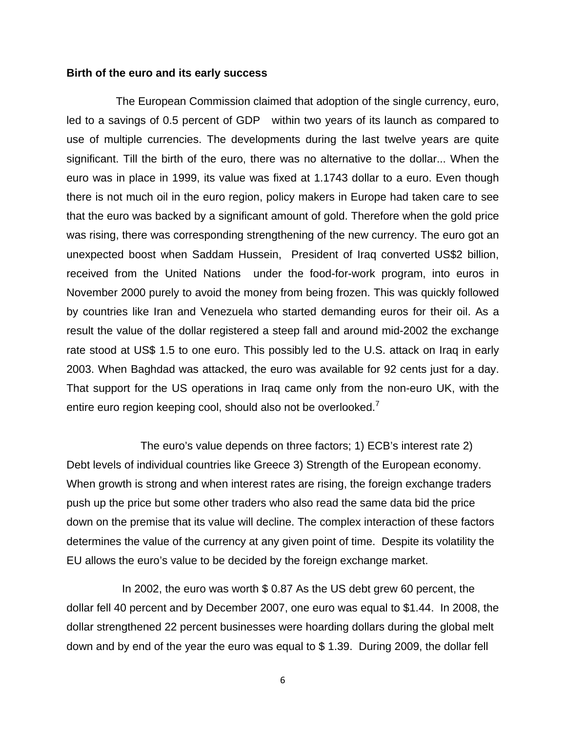#### **Birth of the euro and its early success**

 The European Commission claimed that adoption of the single currency, euro, led to a savings of 0.5 percent of GDP within two years of its launch as compared to use of multiple currencies. The developments during the last twelve years are quite significant. Till the birth of the euro, there was no alternative to the dollar... When the euro was in place in 1999, its value was fixed at 1.1743 dollar to a euro. Even though there is not much oil in the euro region, policy makers in Europe had taken care to see that the euro was backed by a significant amount of gold. Therefore when the gold price was rising, there was corresponding strengthening of the new currency. The euro got an unexpected boost when Saddam Hussein, President of Iraq converted US\$2 billion, received from the United Nations under the food-for-work program, into euros in November 2000 purely to avoid the money from being frozen. This was quickly followed by countries like Iran and Venezuela who started demanding euros for their oil. As a result the value of the dollar registered a steep fall and around mid-2002 the exchange rate stood at US\$ 1.5 to one euro. This possibly led to the U.S. attack on Iraq in early 2003. When Baghdad was attacked, the euro was available for 92 cents just for a day. That support for the US operations in Iraq came only from the non-euro UK, with the entire euro region keeping cool, should also not be overlooked.<sup>7</sup>

 The euro's value depends on three factors; 1) ECB's interest rate 2) Debt levels of individual countries like Greece 3) Strength of the European economy. When growth is strong and when interest rates are rising, the foreign exchange traders push up the price but some other traders who also read the same data bid the price down on the premise that its value will decline. The complex interaction of these factors determines the value of the currency at any given point of time. Despite its volatility the EU allows the euro's value to be decided by the foreign exchange market.

 In 2002, the euro was worth \$ 0.87 As the US debt grew 60 percent, the dollar fell 40 percent and by December 2007, one euro was equal to \$1.44. In 2008, the dollar strengthened 22 percent businesses were hoarding dollars during the global melt down and by end of the year the euro was equal to \$ 1.39. During 2009, the dollar fell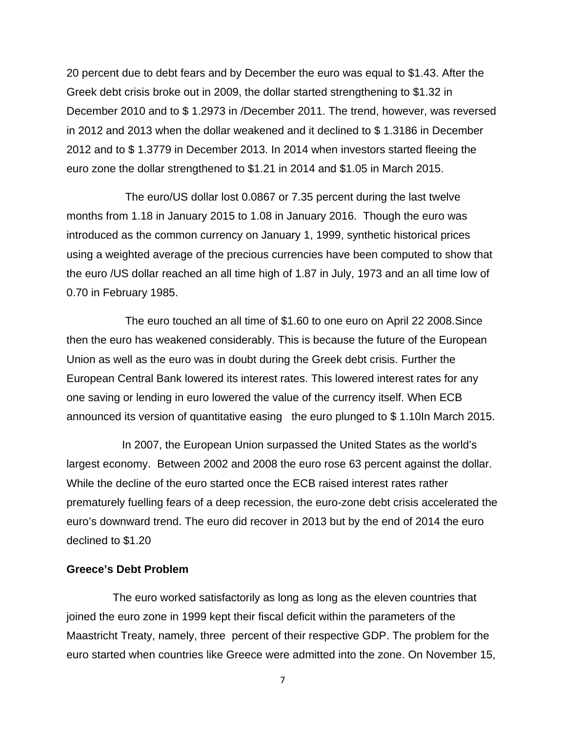20 percent due to debt fears and by December the euro was equal to \$1.43. After the Greek debt crisis broke out in 2009, the dollar started strengthening to \$1.32 in December 2010 and to \$ 1.2973 in /December 2011. The trend, however, was reversed in 2012 and 2013 when the dollar weakened and it declined to \$ 1.3186 in December 2012 and to \$ 1.3779 in December 2013. In 2014 when investors started fleeing the euro zone the dollar strengthened to \$1.21 in 2014 and \$1.05 in March 2015.

 The euro/US dollar lost 0.0867 or 7.35 percent during the last twelve months from 1.18 in January 2015 to 1.08 in January 2016. Though the euro was introduced as the common currency on January 1, 1999, synthetic historical prices using a weighted average of the precious currencies have been computed to show that the euro /US dollar reached an all time high of 1.87 in July, 1973 and an all time low of 0.70 in February 1985.

 The euro touched an all time of \$1.60 to one euro on April 22 2008.Since then the euro has weakened considerably. This is because the future of the European Union as well as the euro was in doubt during the Greek debt crisis. Further the European Central Bank lowered its interest rates. This lowered interest rates for any one saving or lending in euro lowered the value of the currency itself. When ECB announced its version of quantitative easing the euro plunged to \$ 1.10In March 2015.

 In 2007, the European Union surpassed the United States as the world's largest economy. Between 2002 and 2008 the euro rose 63 percent against the dollar. While the decline of the euro started once the ECB raised interest rates rather prematurely fuelling fears of a deep recession, the euro-zone debt crisis accelerated the euro's downward trend. The euro did recover in 2013 but by the end of 2014 the euro declined to \$1.20

# **Greece's Debt Problem**

The euro worked satisfactorily as long as long as the eleven countries that joined the euro zone in 1999 kept their fiscal deficit within the parameters of the Maastricht Treaty, namely, three percent of their respective GDP. The problem for the euro started when countries like Greece were admitted into the zone. On November 15,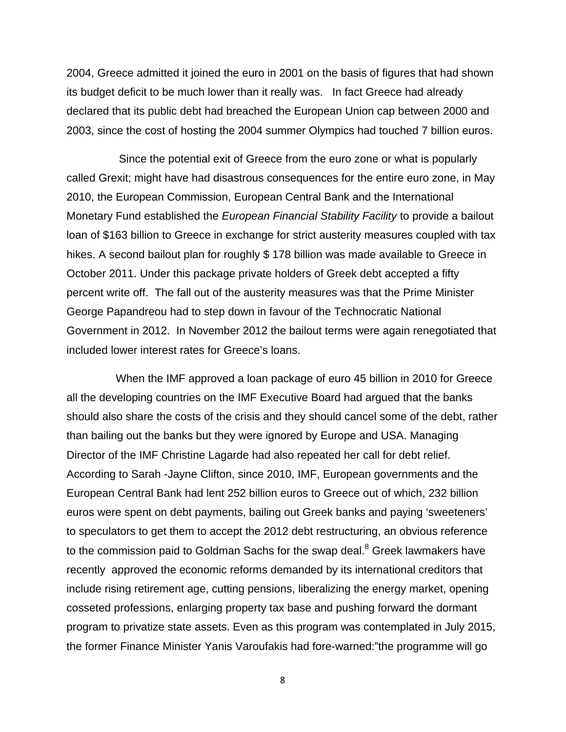2004, Greece admitted it joined the euro in 2001 on the basis of figures that had shown its budget deficit to be much lower than it really was. In fact Greece had already declared that its public debt had breached the European Union cap between 2000 and 2003, since the cost of hosting the 2004 summer Olympics had touched 7 billion euros.

 Since the potential exit of Greece from the euro zone or what is popularly called Grexit; might have had disastrous consequences for the entire euro zone, in May 2010, the European Commission, European Central Bank and the International Monetary Fund established the *European Financial Stability Facility* to provide a bailout loan of \$163 billion to Greece in exchange for strict austerity measures coupled with tax hikes. A second bailout plan for roughly \$178 billion was made available to Greece in October 2011. Under this package private holders of Greek debt accepted a fifty percent write off. The fall out of the austerity measures was that the Prime Minister George Papandreou had to step down in favour of the Technocratic National Government in 2012. In November 2012 the bailout terms were again renegotiated that included lower interest rates for Greece's loans.

 When the IMF approved a loan package of euro 45 billion in 2010 for Greece all the developing countries on the IMF Executive Board had argued that the banks should also share the costs of the crisis and they should cancel some of the debt, rather than bailing out the banks but they were ignored by Europe and USA. Managing Director of the IMF Christine Lagarde had also repeated her call for debt relief. According to Sarah -Jayne Clifton, since 2010, IMF, European governments and the European Central Bank had lent 252 billion euros to Greece out of which, 232 billion euros were spent on debt payments, bailing out Greek banks and paying 'sweeteners' to speculators to get them to accept the 2012 debt restructuring, an obvious reference to the commission paid to Goldman Sachs for the swap deal. $^8$  Greek lawmakers have recently approved the economic reforms demanded by its international creditors that include rising retirement age, cutting pensions, liberalizing the energy market, opening cosseted professions, enlarging property tax base and pushing forward the dormant program to privatize state assets. Even as this program was contemplated in July 2015, the former Finance Minister Yanis Varoufakis had fore-warned:"the programme will go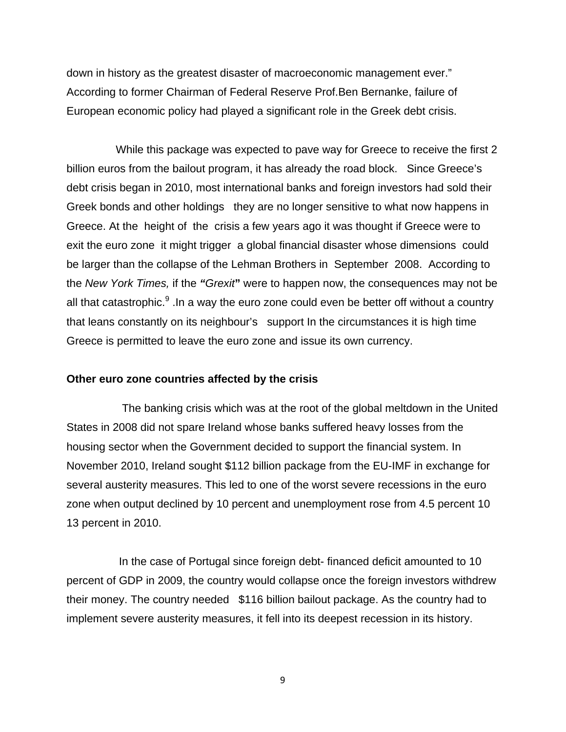down in history as the greatest disaster of macroeconomic management ever." According to former Chairman of Federal Reserve Prof.Ben Bernanke, failure of European economic policy had played a significant role in the Greek debt crisis.

 While this package was expected to pave way for Greece to receive the first 2 billion euros from the bailout program, it has already the road block. Since Greece's debt crisis began in 2010, most international banks and foreign investors had sold their Greek bonds and other holdings they are no longer sensitive to what now happens in Greece. At the height of the crisis a few years ago it was thought if Greece were to exit the euro zone it might trigger a global financial disaster whose dimensions could be larger than the collapse of the Lehman Brothers in September 2008. According to the *New York Times,* if the *"Grexit***"** were to happen now, the consequences may not be all that catastrophic. $9$  .In a way the euro zone could even be better off without a country that leans constantly on its neighbour's support In the circumstances it is high time Greece is permitted to leave the euro zone and issue its own currency.

#### **Other euro zone countries affected by the crisis**

The banking crisis which was at the root of the global meltdown in the United States in 2008 did not spare Ireland whose banks suffered heavy losses from the housing sector when the Government decided to support the financial system. In November 2010, Ireland sought \$112 billion package from the EU-IMF in exchange for several austerity measures. This led to one of the worst severe recessions in the euro zone when output declined by 10 percent and unemployment rose from 4.5 percent 10 13 percent in 2010.

 In the case of Portugal since foreign debt- financed deficit amounted to 10 percent of GDP in 2009, the country would collapse once the foreign investors withdrew their money. The country needed \$116 billion bailout package. As the country had to implement severe austerity measures, it fell into its deepest recession in its history.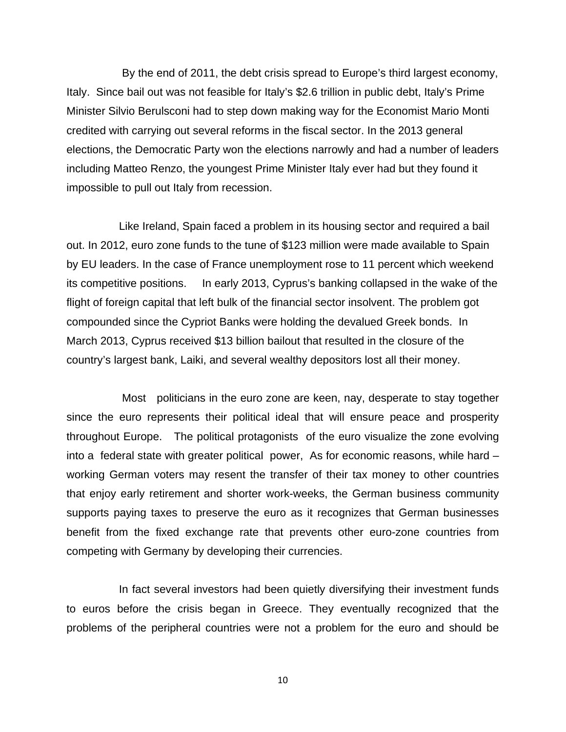By the end of 2011, the debt crisis spread to Europe's third largest economy, Italy. Since bail out was not feasible for Italy's \$2.6 trillion in public debt, Italy's Prime Minister Silvio Berulsconi had to step down making way for the Economist Mario Monti credited with carrying out several reforms in the fiscal sector. In the 2013 general elections, the Democratic Party won the elections narrowly and had a number of leaders including Matteo Renzo, the youngest Prime Minister Italy ever had but they found it impossible to pull out Italy from recession.

 Like Ireland, Spain faced a problem in its housing sector and required a bail out. In 2012, euro zone funds to the tune of \$123 million were made available to Spain by EU leaders. In the case of France unemployment rose to 11 percent which weekend its competitive positions. In early 2013, Cyprus's banking collapsed in the wake of the flight of foreign capital that left bulk of the financial sector insolvent. The problem got compounded since the Cypriot Banks were holding the devalued Greek bonds. In March 2013, Cyprus received \$13 billion bailout that resulted in the closure of the country's largest bank, Laiki, and several wealthy depositors lost all their money.

 Most politicians in the euro zone are keen, nay, desperate to stay together since the euro represents their political ideal that will ensure peace and prosperity throughout Europe. The political protagonists of the euro visualize the zone evolving into a federal state with greater political power, As for economic reasons, while hard – working German voters may resent the transfer of their tax money to other countries that enjoy early retirement and shorter work-weeks, the German business community supports paying taxes to preserve the euro as it recognizes that German businesses benefit from the fixed exchange rate that prevents other euro-zone countries from competing with Germany by developing their currencies.

 In fact several investors had been quietly diversifying their investment funds to euros before the crisis began in Greece. They eventually recognized that the problems of the peripheral countries were not a problem for the euro and should be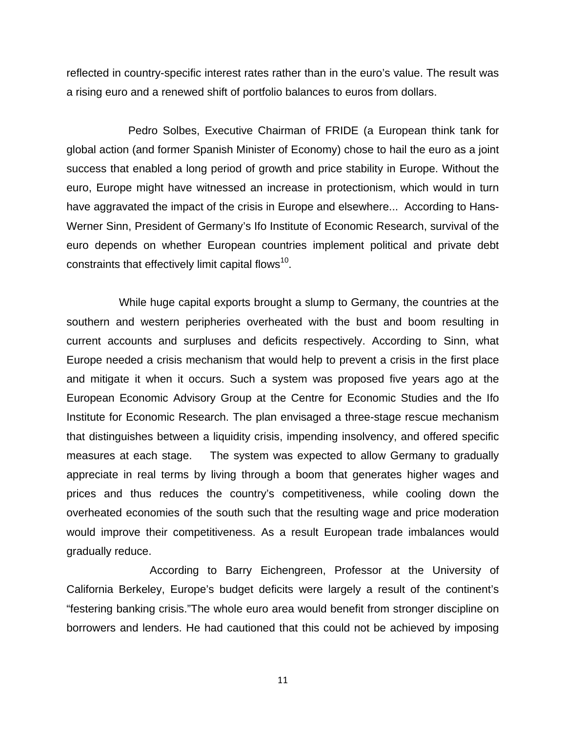reflected in country-specific interest rates rather than in the euro's value. The result was a rising euro and a renewed shift of portfolio balances to euros from dollars.

 Pedro Solbes, Executive Chairman of FRIDE (a European think tank for global action (and former Spanish Minister of Economy) chose to hail the euro as a joint success that enabled a long period of growth and price stability in Europe. Without the euro, Europe might have witnessed an increase in protectionism, which would in turn have aggravated the impact of the crisis in Europe and elsewhere... According to Hans-Werner Sinn, President of Germany's Ifo Institute of Economic Research, survival of the euro depends on whether European countries implement political and private debt constraints that effectively limit capital flows<sup>10</sup>.

 While huge capital exports brought a slump to Germany, the countries at the southern and western peripheries overheated with the bust and boom resulting in current accounts and surpluses and deficits respectively. According to Sinn, what Europe needed a crisis mechanism that would help to prevent a crisis in the first place and mitigate it when it occurs. Such a system was proposed five years ago at the European Economic Advisory Group at the Centre for Economic Studies and the Ifo Institute for Economic Research. The plan envisaged a three-stage rescue mechanism that distinguishes between a liquidity crisis, impending insolvency, and offered specific measures at each stage. The system was expected to allow Germany to gradually appreciate in real terms by living through a boom that generates higher wages and prices and thus reduces the country's competitiveness, while cooling down the overheated economies of the south such that the resulting wage and price moderation would improve their competitiveness. As a result European trade imbalances would gradually reduce.

 According to Barry Eichengreen, Professor at the University of California Berkeley, Europe's budget deficits were largely a result of the continent's "festering banking crisis."The whole euro area would benefit from stronger discipline on borrowers and lenders. He had cautioned that this could not be achieved by imposing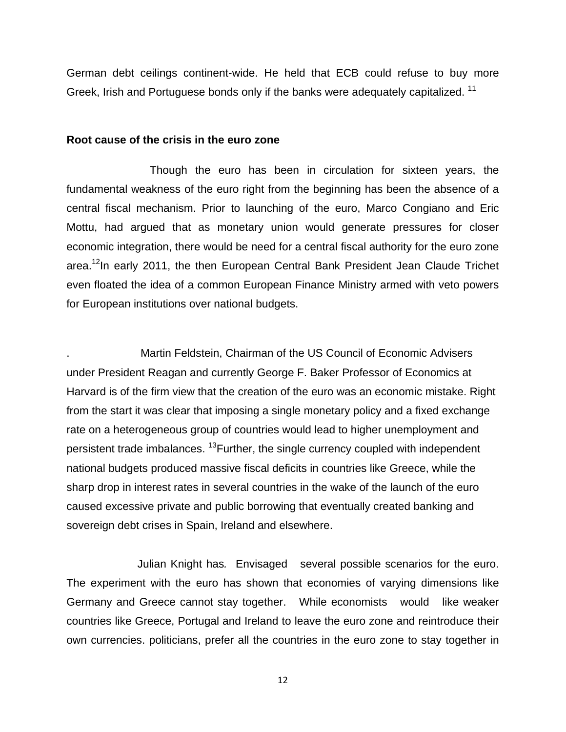German debt ceilings continent-wide. He held that ECB could refuse to buy more Greek, Irish and Portuguese bonds only if the banks were adequately capitalized.<sup>11</sup>

#### **Root cause of the crisis in the euro zone**

 Though the euro has been in circulation for sixteen years, the fundamental weakness of the euro right from the beginning has been the absence of a central fiscal mechanism. Prior to launching of the euro, Marco Congiano and Eric Mottu, had argued that as monetary union would generate pressures for closer economic integration, there would be need for a central fiscal authority for the euro zone area.<sup>12</sup>In early 2011, the then European Central Bank President Jean Claude Trichet even floated the idea of a common European Finance Ministry armed with veto powers for European institutions over national budgets.

. Martin Feldstein, Chairman of the US Council of Economic Advisers under President Reagan and currently George F. Baker Professor of Economics at Harvard is of the firm view that the creation of the euro was an economic mistake. Right from the start it was clear that imposing a single monetary policy and a fixed exchange rate on a heterogeneous group of countries would lead to higher unemployment and persistent trade imbalances. <sup>13</sup>Further, the single currency coupled with independent national budgets produced massive fiscal deficits in countries like Greece, while the sharp drop in interest rates in several countries in the wake of the launch of the euro caused excessive private and public borrowing that eventually created banking and sovereign debt crises in Spain, Ireland and elsewhere.

 Julian Knight has*.* Envisaged several possible scenarios for the euro. The experiment with the euro has shown that economies of varying dimensions like Germany and Greece cannot stay together. While economists would like weaker countries like Greece, Portugal and Ireland to leave the euro zone and reintroduce their own currencies. politicians, prefer all the countries in the euro zone to stay together in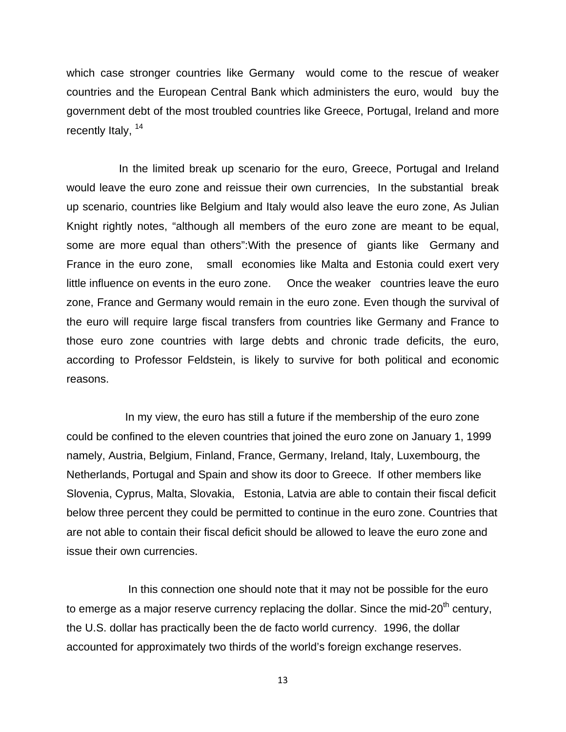which case stronger countries like Germany would come to the rescue of weaker countries and the European Central Bank which administers the euro, would buy the government debt of the most troubled countries like Greece, Portugal, Ireland and more recently Italy, <sup>14</sup>

 In the limited break up scenario for the euro, Greece, Portugal and Ireland would leave the euro zone and reissue their own currencies, In the substantial break up scenario, countries like Belgium and Italy would also leave the euro zone, As Julian Knight rightly notes, "although all members of the euro zone are meant to be equal, some are more equal than others":With the presence of giants like Germany and France in the euro zone, small economies like Malta and Estonia could exert very little influence on events in the euro zone. Once the weaker countries leave the euro zone, France and Germany would remain in the euro zone. Even though the survival of the euro will require large fiscal transfers from countries like Germany and France to those euro zone countries with large debts and chronic trade deficits, the euro, according to Professor Feldstein, is likely to survive for both political and economic reasons.

 In my view, the euro has still a future if the membership of the euro zone could be confined to the eleven countries that joined the euro zone on January 1, 1999 namely, Austria, Belgium, Finland, France, Germany, Ireland, Italy, Luxembourg, the Netherlands, Portugal and Spain and show its door to Greece. If other members like Slovenia, Cyprus, Malta, Slovakia, Estonia, Latvia are able to contain their fiscal deficit below three percent they could be permitted to continue in the euro zone. Countries that are not able to contain their fiscal deficit should be allowed to leave the euro zone and issue their own currencies.

 In this connection one should note that it may not be possible for the euro to emerge as a major reserve currency replacing the dollar. Since the mid-20<sup>th</sup> century, the U.S. dollar has practically been the de facto world currency. 1996, the dollar accounted for approximately two thirds of the world's foreign exchange reserves.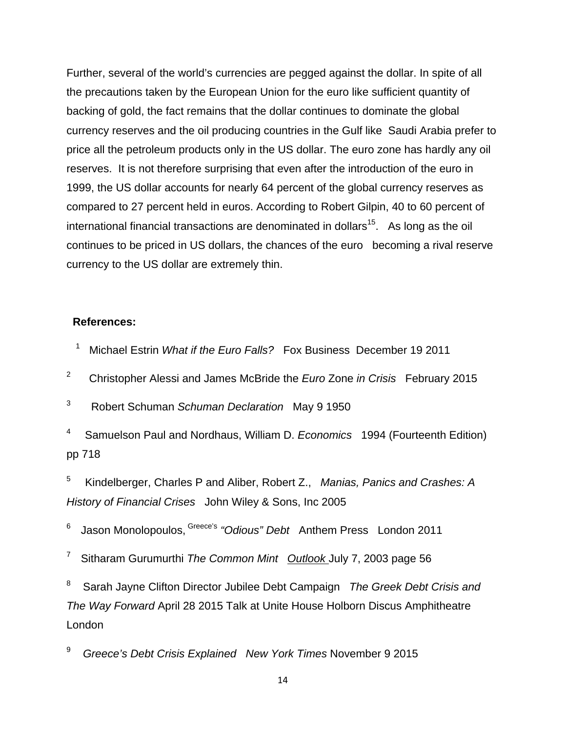Further, several of the world's currencies are pegged against the dollar. In spite of all the precautions taken by the European Union for the euro like sufficient quantity of backing of gold, the fact remains that the dollar continues to dominate the global currency reserves and the oil producing countries in the Gulf like Saudi Arabia prefer to price all the petroleum products only in the US dollar. The euro zone has hardly any oil reserves. It is not therefore surprising that even after the introduction of the euro in 1999, the US dollar accounts for nearly 64 percent of the global currency reserves as compared to 27 percent held in euros. According to Robert Gilpin, 40 to 60 percent of international financial transactions are denominated in dollars<sup>15</sup>. As long as the oil continues to be priced in US dollars, the chances of the euro becoming a rival reserve currency to the US dollar are extremely thin.

## **References:**

- $\overline{\phantom{0}}$ Michael Estrin *What if the Euro Falls?* Fox Business December 19 2011
- 2 Christopher Alessi and James McBride the *Euro* Zone *in Crisis* February 2015

3 Robert Schuman *Schuman Declaration* May 9 1950

4 Samuelson Paul and Nordhaus, William D. *Economics* 1994 (Fourteenth Edition) pp 718

5 Kindelberger, Charles P and Aliber, Robert Z., *Manias, Panics and Crashes: A History of Financial Crises* John Wiley & Sons, Inc 2005

6 Jason Monolopoulos, Greece's *"Odious" Debt* Anthem Press London 2011

7 Sitharam Gurumurthi *The Common Mint Outlook* July 7, 2003 page 56

8 Sarah Jayne Clifton Director Jubilee Debt Campaign *The Greek Debt Crisis and The Way Forward* April 28 2015 Talk at Unite House Holborn Discus Amphitheatre London

<sup>9</sup>*Greece's Debt Crisis Explained New York Times* November 9 2015